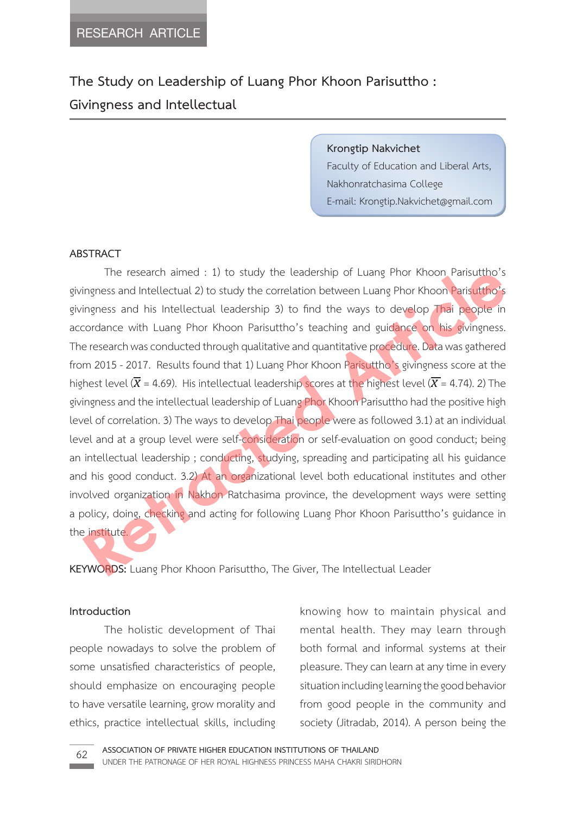**The Study on Leadership of Luang Phor Khoon Parisuttho : Givingness and Intellectual**

**Krongtip Nakvichet**

Faculty of Education and Liberal Arts, Nakhonratchasima College E-mail: Krongtip.Nakvichet@gmail.com

### **ABSTRACT**

 The research aimed : 1) to study the leadership of Luang Phor Khoon Parisuttho's givingness and Intellectual 2) to study the correlation between Luang Phor Khoon Parisuttho's givingness and his Intellectual leadership 3) to find the ways to develop Thai people in accordance with Luang Phor Khoon Parisuttho's teaching and guidance on his givingness. The research was conducted through qualitative and quantitative procedure. Data was gathered from 2015 - 2017. Results found that 1) Luang Phor Khoon Parisuttho's givingness score at the highest level ( $\overline{X}$  = 4.69). His intellectual leadership scores at the highest level ( $\overline{X}$  = 4.74). 2) The givingness and the intellectual leadership of Luang Phor Khoon Parisuttho had the positive high level of correlation. 3) The ways to develop Thai people were as followed 3.1) at an individual level and at a group level were self-consideration or self-evaluation on good conduct; being an intellectual leadership; conducting, studying, spreading and participating all his guidance and his good conduct. 3.2) At an organizational level both educational institutes and other involved organization in Nakhon Ratchasima province, the development ways were setting a policy, doing, checking and acting for following Luang Phor Khoon Parisuttho's guidance in the institute. The research aimed : 1) to study the leadership of Luang Phor Khoon Parisutho's<br>ingness and Intellectual 2) to study the correlation between Luang Phor Khoon Parisutho's<br>ingness and his Intellectual leadership 3) to find

**KEYWORDS:** Luang Phor Khoon Parisuttho, The Giver, The Intellectual Leader

#### **Introduction**

 The holistic development of Thai people nowadays to solve the problem of some unsatisfied characteristics of people, should emphasize on encouraging people to have versatile learning, grow morality and ethics, practice intellectual skills, including knowing how to maintain physical and mental health. They may learn through both formal and informal systems at their pleasure. They can learn at any time in every situation including learning the good behavior from good people in the community and society (Jitradab, 2014). A person being the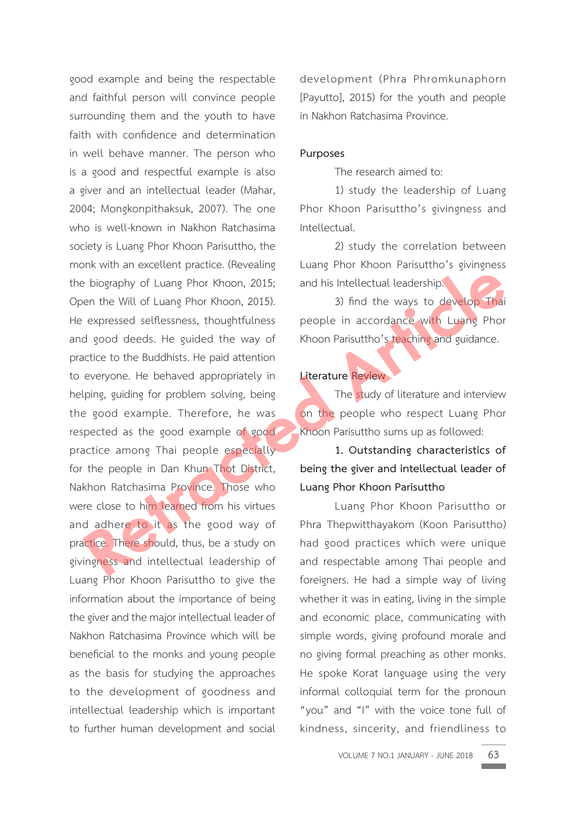good example and being the respectable and faithful person will convince people surrounding them and the youth to have faith with confidence and determination in well behave manner. The person who is a good and respectful example is also a giver and an intellectual leader (Mahar, 2004; Mongkonpithaksuk, 2007). The one who is well-known in Nakhon Ratchasima society is Luang Phor Khoon Parisuttho, the monk with an excellent practice. (Revealing the biography of Luang Phor Khoon, 2015; Open the Will of Luang Phor Khoon, 2015). He expressed selflessness, thoughtfulness and good deeds. He guided the way of practice to the Buddhists. He paid attention to everyone. He behaved appropriately in helping, guiding for problem solving, being the good example. Therefore, he was respected as the good example of good practice among Thai people especially for the people in Dan Khun Thot District, Nakhon Ratchasima Province. Those who were close to him learned from his virtues and adhere to it as the good way of practice. There should, thus, be a study on givingness and intellectual leadership of Luang Phor Khoon Parisuttho to give the information about the importance of being the giver and the major intellectual leader of Nakhon Ratchasima Province which will be beneficial to the monks and young people as the basis for studying the approaches to the development of goodness and intellectual leadership which is important to further human development and social Example the Will of Luang Phor Khoon, 2015; and his Intellectual leadership.<br>
Retracted self-content the Will of Luang Phor Khoon, 2015; 3) find the ways to develop Thai<br>
expressed selflessness, thoughfulness people in acc

development (Phra Phromkunaphorn [Payutto], 2015) for the youth and people in Nakhon Ratchasima Province.

#### **Purposes**

The research aimed to:

 1) study the leadership of Luang Phor Khoon Parisuttho's givingness and Intellectual.

 2) study the correlation between Luang Phor Khoon Parisuttho's givingness and his Intellectual leadership.

 3) find the ways to develop Thai people in accordance with Luang Phor Khoon Parisuttho's teaching and guidance.

## **Literature Review**

The study of literature and interview on the people who respect Luang Phor Khoon Parisuttho sums up as followed:

 **1. Outstanding characteristics of being the giver and intellectual leader of Luang Phor Khoon Parisuttho**

 Luang Phor Khoon Parisuttho or Phra Thepwitthayakom (Koon Parisuttho) had good practices which were unique and respectable among Thai people and foreigners. He had a simple way of living whether it was in eating, living in the simple and economic place, communicating with simple words, giving profound morale and no giving formal preaching as other monks. He spoke Korat language using the very informal colloquial term for the pronoun "you" and "I" with the voice tone full of kindness, sincerity, and friendliness to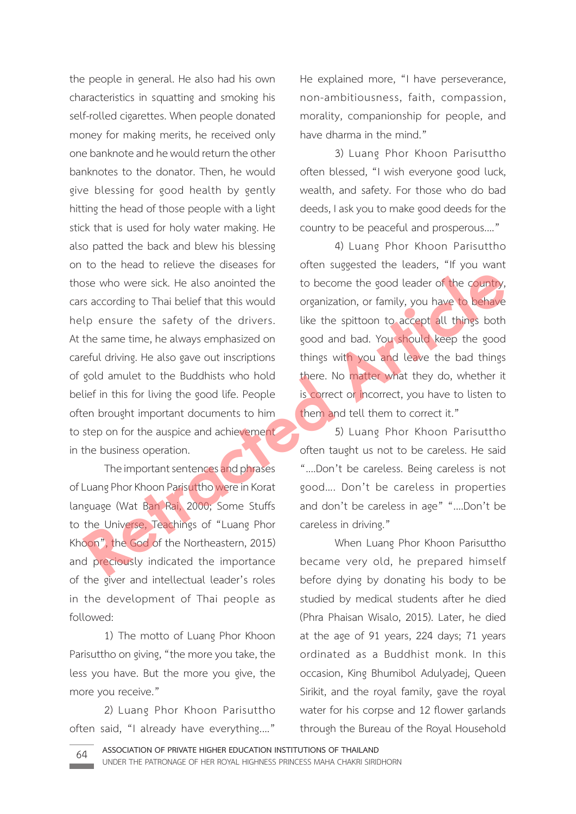the people in general. He also had his own characteristics in squatting and smoking his self-rolled cigarettes. When people donated money for making merits, he received only one banknote and he would return the other banknotes to the donator. Then, he would give blessing for good health by gently hitting the head of those people with a light stick that is used for holy water making. He also patted the back and blew his blessing on to the head to relieve the diseases for those who were sick. He also anointed the cars according to Thai belief that this would help ensure the safety of the drivers. At the same time, he always emphasized on careful driving. He also gave out inscriptions of gold amulet to the Buddhists who hold belief in this for living the good life. People often brought important documents to him to step on for the auspice and achievement in the business operation. **Retraining to Thai belief that this would be the spoot leader of the countly, s according to Thai belief that this would be announced the spot of the same time, he always emphasized on good and bad. You should keep the go** 

 The important sentences and phrases of Luang Phor Khoon Parisuttho were in Korat language (Wat Ban Rai, 2000; Some Stuffs to the Universe, Teachings of "Luang Phor Khoon", the God of the Northeastern, 2015) and preciously indicated the importance of the giver and intellectual leader's roles in the development of Thai people as followed:

 1) The motto of Luang Phor Khoon Parisuttho on giving, "the more you take, the less you have. But the more you give, the more you receive."

 2) Luang Phor Khoon Parisuttho often said, "I already have everything.…"

He explained more, "I have perseverance, non-ambitiousness, faith, compassion, morality, companionship for people, and have dharma in the mind."

 3) Luang Phor Khoon Parisuttho often blessed, "I wish everyone good luck, wealth, and safety. For those who do bad deeds, I ask you to make good deeds for the country to be peaceful and prosperous...."

 4) Luang Phor Khoon Parisuttho often suggested the leaders, "If you want to become the good leader of the country, organization, or family, you have to behave like the spittoon to accept all things both good and bad. You should keep the good things with you and leave the bad things there. No matter what they do, whether it is correct or incorrect, you have to listen to them and tell them to correct it."

 5) Luang Phor Khoon Parisuttho often taught us not to be careless. He said "....Don't be careless. Being careless is not good…. Don't be careless in properties and don't be careless in age" "....Don't be careless in driving."

 When Luang Phor Khoon Parisuttho became very old, he prepared himself before dying by donating his body to be studied by medical students after he died (Phra Phaisan Wisalo, 2015). Later, he died at the age of 91 years, 224 days; 71 years ordinated as a Buddhist monk. In this occasion, King Bhumibol Adulyadej, Queen Sirikit, and the royal family, gave the royal water for his corpse and 12 flower garlands through the Bureau of the Royal Household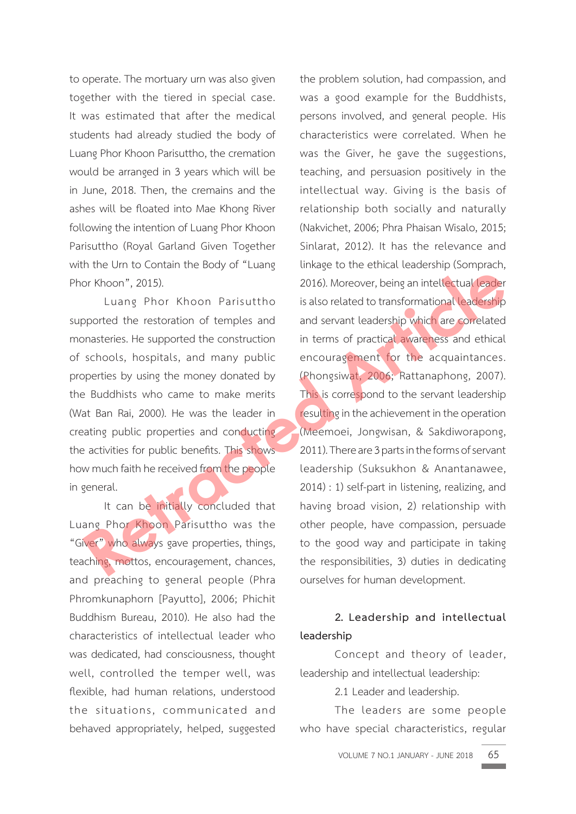to operate. The mortuary urn was also given together with the tiered in special case. It was estimated that after the medical students had already studied the body of Luang Phor Khoon Parisuttho, the cremation would be arranged in 3 years which will be in June, 2018. Then, the cremains and the ashes will be floated into Mae Khong River following the intention of Luang Phor Khoon Parisuttho (Royal Garland Given Together with the Urn to Contain the Body of "Luang Phor Khoon", 2015).

 Luang Phor Khoon Parisuttho supported the restoration of temples and monasteries. He supported the construction of schools, hospitals, and many public properties by using the money donated by the Buddhists who came to make merits (Wat Ban Rai, 2000). He was the leader in creating public properties and conducting the activities for public benefits. This shows how much faith he received from the people in general.

 It can be initially concluded that Luang Phor Khoon Parisuttho was the "Giver" who always gave properties, things, teaching, mottos, encouragement, chances, and preaching to general people (Phra Phromkunaphorn [Payutto], 2006; Phichit Buddhism Bureau, 2010). He also had the characteristics of intellectual leader who was dedicated, had consciousness, thought well, controlled the temper well, was flexible, had human relations, understood the situations, communicated and behaved appropriately, helped, suggested

the problem solution, had compassion, and was a good example for the Buddhists, persons involved, and general people. His characteristics were correlated. When he was the Giver, he gave the suggestions, teaching, and persuasion positively in the intellectual way. Giving is the basis of relationship both socially and naturally (Nakvichet, 2006; Phra Phaisan Wisalo, 2015; Sinlarat, 2012). It has the relevance and linkage to the ethical leadership (Somprach, 2016). Moreover, being an intellectual leader is also related to transformational leadership and servant leadership which are correlated in terms of practical awareness and ethical encouragement for the acquaintances. (Phongsiwat, 2006; Rattanaphong, 2007). This is correspond to the servant leadership resulting in the achievement in the operation (Meemoei, Jongwisan, & Sakdiworapong, 2011). There are 3 parts in the forms of servant leadership (Suksukhon & Anantanawee, 2014) : 1) self-part in listening, realizing, and having broad vision, 2) relationship with other people, have compassion, persuade to the good way and participate in taking the responsibilities, 3) duties in dedicating ourselves for human development. From The Strategy of the Controller of the same that the properties, thing the retreation of temples and several contrasteries. He supported the restoration of temples and sevant leadership which are correlated on<br>asteries

## **2. Leadership and intellectual leadership**

 Concept and theory of leader, leadership and intellectual leadership:

2.1 Leader and leadership.

 The leaders are some people who have special characteristics, regular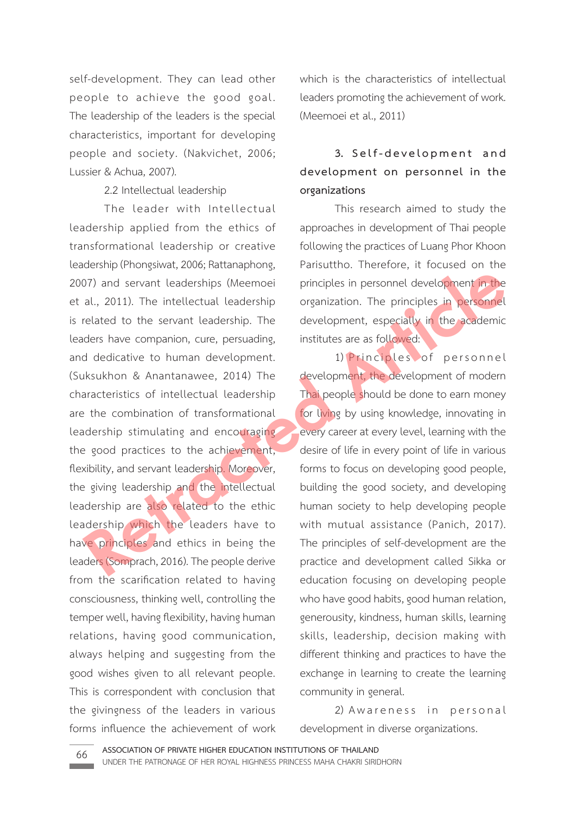self-development. They can lead other people to achieve the good goal. The leadership of the leaders is the special characteristics, important for developing people and society. (Nakvichet, 2006; Lussier & Achua, 2007).

## 2.2 Intellectual leadership

 The leader with Intellectual leadership applied from the ethics of transformational leadership or creative leadership (Phongsiwat, 2006; Rattanaphong, 2007) and servant leaderships (Meemoei et al., 2011). The intellectual leadership is related to the servant leadership. The leaders have companion, cure, persuading, and dedicative to human development. (Suksukhon & Anantanawee, 2014) The characteristics of intellectual leadership are the combination of transformational leadership stimulating and encouraging the good practices to the achievement, flexibility, and servant leadership. Moreover, the giving leadership and the intellectual leadership are also related to the ethic leadership which the leaders have to have principles and ethics in being the leaders (Somprach, 2016). The people derive from the scarification related to having consciousness, thinking well, controlling the temper well, having flexibility, having human relations, having good communication, always helping and suggesting from the good wishes given to all relevant people. This is correspondent with conclusion that the givingness of the leaders in various forms influence the achievement of work 07) and servant leaderships (Meemoei principles in personnel development in the al., 2011). The intellectual leadership organization. The principles in personnel related to the servant leadership. The development, especial

which is the characteristics of intellectual leaders promoting the achievement of work. (Meemoei et al., 2011)

# **3. S e l f - d e v e l o p m e n t a n d development on personnel in the organizations**

 This research aimed to study the approaches in development of Thai people following the practices of Luang Phor Khoon Parisuttho. Therefore, it focused on the principles in personnel development in the organization. The principles in personnel development, especially in the academic institutes are as followed:

1) Principles of personnel development, the development of modern Thai people should be done to earn money for living by using knowledge, innovating in every career at every level, learning with the desire of life in every point of life in various forms to focus on developing good people, building the good society, and developing human society to help developing people with mutual assistance (Panich, 2017). The principles of self-development are the practice and development called Sikka or education focusing on developing people who have good habits, good human relation, generousity, kindness, human skills, learning skills, leadership, decision making with different thinking and practices to have the exchange in learning to create the learning community in general.

2) Awareness in personal development in diverse organizations.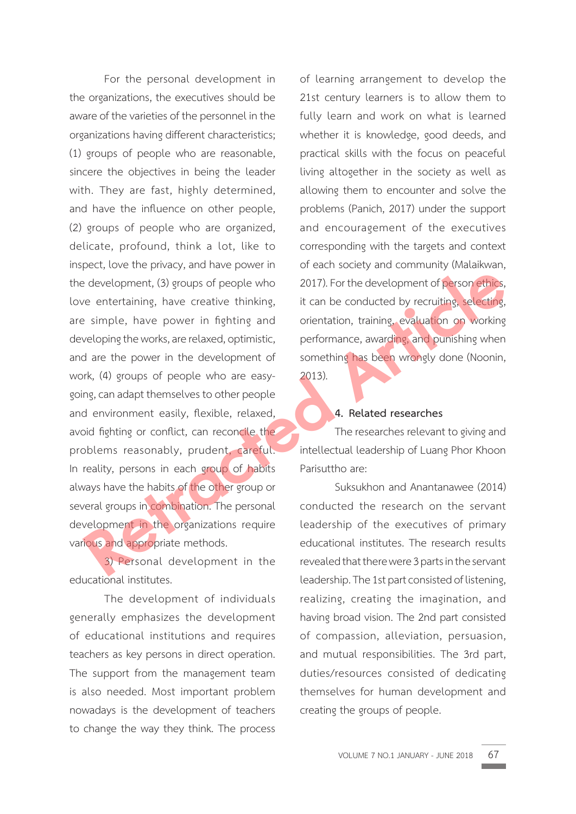For the personal development in the organizations, the executives should be aware of the varieties of the personnel in the organizations having different characteristics; (1) groups of people who are reasonable, sincere the objectives in being the leader with. They are fast, highly determined, and have the influence on other people, (2) groups of people who are organized, delicate, profound, think a lot, like to inspect, love the privacy, and have power in the development, (3) groups of people who love entertaining, have creative thinking, are simple, have power in fighting and developing the works, are relaxed, optimistic, and are the power in the development of work, (4) groups of people who are easygoing, can adapt themselves to other people and environment easily, flexible, relaxed, avoid fighting or conflict, can reconcile the problems reasonably, prudent, careful. In reality, persons in each group of habits always have the habits of the other group or several groups in combination. The personal development in the organizations require various and appropriate methods. Retression of the conducted the current of person sthics, and appropriate methods.<br>
Retracting, have creative thinking, it can be conducted by recruiting, selecting, selecting, selecting, selecting, selecting, selecting, s

 3) Personal development in the educational institutes.

 The development of individuals generally emphasizes the development of educational institutions and requires teachers as key persons in direct operation. The support from the management team is also needed. Most important problem nowadays is the development of teachers to change the way they think. The process

of learning arrangement to develop the 21st century learners is to allow them to fully learn and work on what is learned whether it is knowledge, good deeds, and practical skills with the focus on peaceful living altogether in the society as well as allowing them to encounter and solve the problems (Panich, 2017) under the support and encouragement of the executives corresponding with the targets and context of each society and community (Malaikwan, 2017). For the development of person ethics, it can be conducted by recruiting, selecting, orientation, training, evaluation on working performance, awarding, and punishing when something has been wrongly done (Noonin, 2013).

## **4. Related researches**

 The researches relevant to giving and intellectual leadership of Luang Phor Khoon Parisuttho are:

 Suksukhon and Anantanawee (2014) conducted the research on the servant leadership of the executives of primary educational institutes. The research results revealed that there were 3 parts in the servant leadership. The 1st part consisted of listening, realizing, creating the imagination, and having broad vision. The 2nd part consisted of compassion, alleviation, persuasion, and mutual responsibilities. The 3rd part, duties/resources consisted of dedicating themselves for human development and creating the groups of people.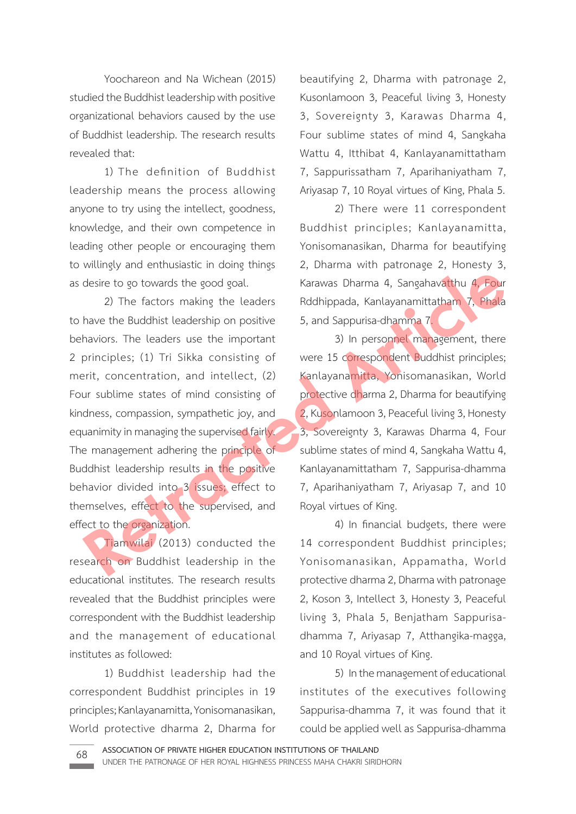Yoochareon and Na Wichean (2015) studied the Buddhist leadership with positive organizational behaviors caused by the use of Buddhist leadership. The research results revealed that:

 1) The definition of Buddhist leadership means the process allowing anyone to try using the intellect, goodness, knowledge, and their own competence in leading other people or encouraging them to willingly and enthusiastic in doing things as desire to go towards the good goal.

 2) The factors making the leaders to have the Buddhist leadership on positive behaviors. The leaders use the important 2 principles; (1) Tri Sikka consisting of merit, concentration, and intellect, (2) Four sublime states of mind consisting of kindness, compassion, sympathetic joy, and equanimity in managing the supervised fairly. The management adhering the principle of Buddhist leadership results in the positive behavior divided into 3 issues; effect to themselves, effect to the supervised, and effect to the organization. desire to go towards the good goal. Karawas Dharma 4, Sangahavatthu 4, Four<br>
2) The factors making the leaders<br>
Redhippada, Kanlayanamittatham 7, Phala<br>
have the Buddhist leadership on positive<br>
5, and Sappurisa-dhamma 7,<br>

 Tiamwilai (2013) conducted the research on Buddhist leadership in the educational institutes. The research results revealed that the Buddhist principles were correspondent with the Buddhist leadership and the management of educational institutes as followed:

 1) Buddhist leadership had the correspondent Buddhist principles in 19 principles; Kanlayanamitta, Yonisomanasikan, World protective dharma 2, Dharma for

beautifying 2, Dharma with patronage 2, Kusonlamoon 3, Peaceful living 3, Honesty 3, Sovereignty 3, Karawas Dharma 4, Four sublime states of mind 4, Sangkaha Wattu 4, Itthibat 4, Kanlayanamittatham 7, Sappurissatham 7, Aparihaniyatham 7, Ariyasap 7, 10 Royal virtues of King, Phala 5.

 2) There were 11 correspondent Buddhist principles; Kanlayanamitta, Yonisomanasikan, Dharma for beautifying 2, Dharma with patronage 2, Honesty 3, Karawas Dharma 4, Sangahavatthu 4, Four Rddhippada, Kanlayanamittatham 7, Phala 5, and Sappurisa-dhamma 7.

 3) In personnel management, there were 15 correspondent Buddhist principles; Kanlayanamitta, Yonisomanasikan, World protective dharma 2, Dharma for beautifying 2, Kusonlamoon 3, Peaceful living 3, Honesty 3, Sovereignty 3, Karawas Dharma 4, Four sublime states of mind 4, Sangkaha Wattu 4, Kanlayanamittatham 7, Sappurisa-dhamma 7, Aparihaniyatham 7, Ariyasap 7, and 10 Royal virtues of King.

 4) In financial budgets, there were 14 correspondent Buddhist principles; Yonisomanasikan, Appamatha, World protective dharma 2, Dharma with patronage 2, Koson 3, Intellect 3, Honesty 3, Peaceful living 3, Phala 5, Benjatham Sappurisadhamma 7, Ariyasap 7, Atthangika-magga, and 10 Royal virtues of King.

 5) In the management of educational institutes of the executives following Sappurisa-dhamma 7, it was found that it could be applied well as Sappurisa-dhamma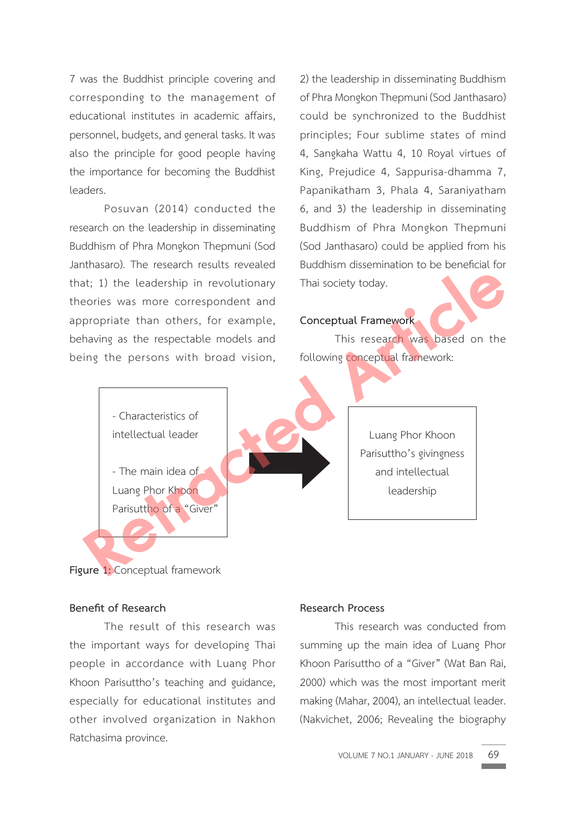7 was the Buddhist principle covering and corresponding to the management of educational institutes in academic affairs, personnel, budgets, and general tasks. It was also the principle for good people having the importance for becoming the Buddhist leaders.

 Posuvan (2014) conducted the research on the leadership in disseminating Buddhism of Phra Mongkon Thepmuni (Sod Janthasaro). The research results revealed that; 1) the leadership in revolutionary theories was more correspondent and appropriate than others, for example, behaving as the respectable models and being the persons with broad vision, 2) the leadership in disseminating Buddhism of Phra Mongkon Thepmuni (Sod Janthasaro) could be synchronized to the Buddhist principles; Four sublime states of mind 4, Sangkaha Wattu 4, 10 Royal virtues of King, Prejudice 4, Sappurisa-dhamma 7, Papanikatham 3, Phala 4, Saraniyatham 6, and 3) the leadership in disseminating Buddhism of Phra Mongkon Thepmuni (Sod Janthasaro) could be applied from his Buddhism dissemination to be beneficial for Thai society today.

### **Conceptual Framework**

 This research was based on the following conceptual framework:



Luang Phor Khoon Parisuttho's givingness and intellectual leadership

## **Figure 1:** Conceptual framework

## **Benefit of Research**

 The result of this research was the important ways for developing Thai people in accordance with Luang Phor Khoon Parisuttho's teaching and guidance, especially for educational institutes and other involved organization in Nakhon Ratchasima province.

#### **Research Process**

 This research was conducted from summing up the main idea of Luang Phor Khoon Parisuttho of a "Giver" (Wat Ban Rai, 2000) which was the most important merit making (Mahar, 2004), an intellectual leader. (Nakvichet, 2006; Revealing the biography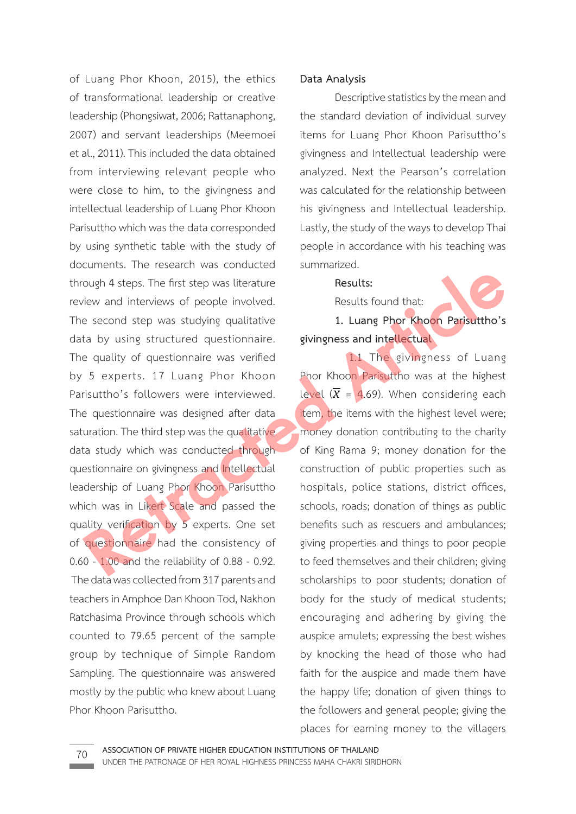of Luang Phor Khoon, 2015), the ethics of transformational leadership or creative leadership (Phongsiwat, 2006; Rattanaphong, 2007) and servant leaderships (Meemoei et al., 2011). This included the data obtained from interviewing relevant people who were close to him, to the givingness and intellectual leadership of Luang Phor Khoon Parisuttho which was the data corresponded by using synthetic table with the study of documents. The research was conducted through 4 steps. The first step was literature review and interviews of people involved. The second step was studying qualitative data by using structured questionnaire. The quality of questionnaire was verified by 5 experts. 17 Luang Phor Khoon Parisuttho's followers were interviewed. The questionnaire was designed after data saturation. The third step was the qualitative data study which was conducted through questionnaire on givingness and Intellectual leadership of Luang Phor Khoon Parisuttho which was in Likert Scale and passed the quality verification by 5 experts. One set of questionnaire had the consistency of 0.60 - 1.00 and the reliability of 0.88 - 0.92. The data was collected from 317 parents and teachers in Amphoe Dan Khoon Tod, Nakhon Ratchasima Province through schools which counted to 79.65 percent of the sample group by technique of Simple Random Sampling. The questionnaire was answered mostly by the public who knew about Luang Phor Khoon Parisuttho. **Results:**<br> **Results:**<br> **Results:**<br> **Results:**<br> **Results:**<br> **Results:**<br> **Results:**<br> **Results:**<br> **Results:**<br> **Results:**<br> **Results:**<br> **Results:**<br> **Results:**<br> **Results:**<br> **Results:**<br> **Results:**<br> **Results:**<br> **Results:**<br> **Resul** 

### **Data Analysis**

 Descriptive statistics by the mean and the standard deviation of individual survey items for Luang Phor Khoon Parisuttho's givingness and Intellectual leadership were analyzed. Next the Pearson's correlation was calculated for the relationship between his givingness and Intellectual leadership. Lastly, the study of the ways to develop Thai people in accordance with his teaching was summarized.

#### **Results:**

Results found that:

 **1. Luang Phor Khoon Parisuttho's givingness and intellectual**

 1.1 The givingness of Luang Phor Khoon Parisuttho was at the highest level  $(\overline{X} = 4.69)$ . When considering each item, the items with the highest level were; money donation contributing to the charity of King Rama 9; money donation for the construction of public properties such as hospitals, police stations, district offices, schools, roads; donation of things as public benefits such as rescuers and ambulances; giving properties and things to poor people to feed themselves and their children; giving scholarships to poor students; donation of body for the study of medical students; encouraging and adhering by giving the auspice amulets; expressing the best wishes by knocking the head of those who had faith for the auspice and made them have the happy life; donation of given things to the followers and general people; giving the places for earning money to the villagers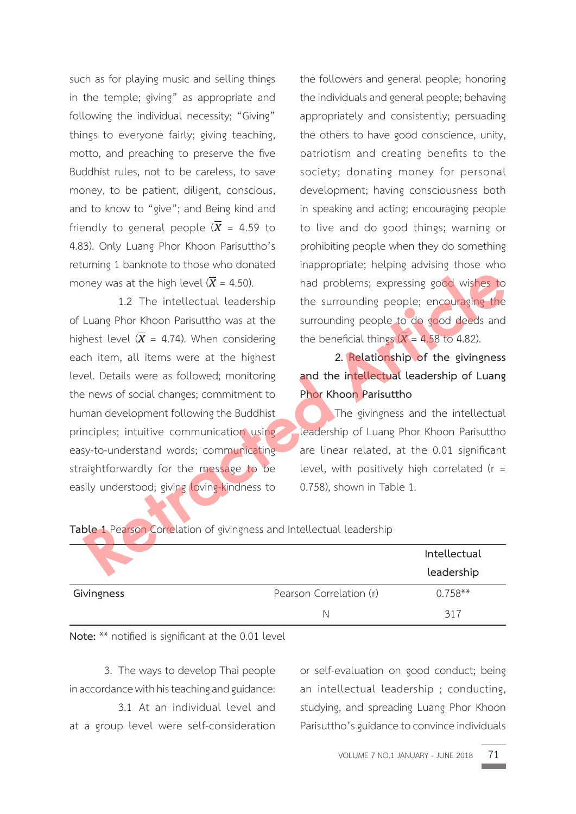such as for playing music and selling things in the temple; giving" as appropriate and following the individual necessity; "Giving" things to everyone fairly; giving teaching, motto, and preaching to preserve the five Buddhist rules, not to be careless, to save money, to be patient, diligent, conscious, and to know to "give"; and Being kind and friendly to general people  $(\overline{X} = 4.59)$  to 4.83). Only Luang Phor Khoon Parisuttho's returning 1 banknote to those who donated money was at the high level  $(\overline{X} = 4.50)$ .

 1.2 The intellectual leadership of Luang Phor Khoon Parisuttho was at the highest level  $(\overline{X} = 4.74)$ . When considering each item, all items were at the highest level. Details were as followed; monitoring the news of social changes; commitment to human development following the Buddhist principles; intuitive communication using easy-to-understand words; communicating straightforwardly for the message to be easily understood; giving loving-kindness to **Retrained** Material Leadership that the high level ( $\overline{X} = 4.50$ ). That problems; expressing good wishes to 1.2 The intellectual leadership the surrounding people is odo deeds and hest level ( $\overline{X} = 4.74$ ). When cons

the followers and general people; honoring the individuals and general people; behaving appropriately and consistently; persuading the others to have good conscience, unity, patriotism and creating benefits to the society; donating money for personal development; having consciousness both in speaking and acting; encouraging people to live and do good things; warning or prohibiting people when they do something inappropriate; helping advising those who had problems; expressing good wishes to the surrounding people; encouraging the surrounding people to do good deeds and the beneficial things  $(X = 4.58$  to 4.82).

 **2. Relationship of the givingness and the intellectual leadership of Luang Phor Khoon Parisuttho**

 The givingness and the intellectual leadership of Luang Phor Khoon Parisuttho are linear related, at the 0.01 significant level, with positively high correlated (r = 0.758), shown in Table 1.

|            |                         | Intellectual<br>leadership |
|------------|-------------------------|----------------------------|
| Givingness | Pearson Correlation (r) | $0.758**$                  |
|            | N                       | 317                        |

**Table 1** Pearson Correlation of givingness and Intellectual leadership

**Note:** \*\* notified is significant at the 0.01 level

 3. The ways to develop Thai people in accordance with his teaching and guidance:

 3.1 At an individual level and at a group level were self-consideration or self-evaluation on good conduct; being an intellectual leadership ; conducting, studying, and spreading Luang Phor Khoon Parisuttho's guidance to convince individuals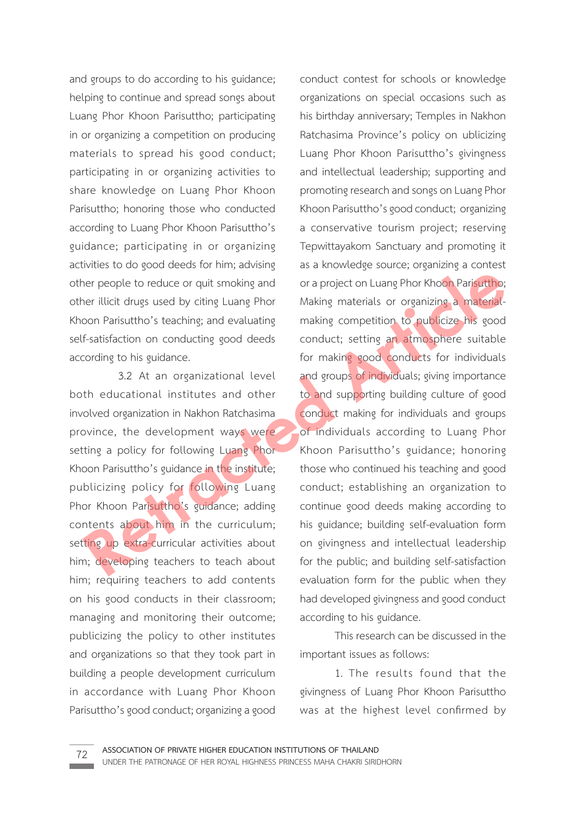and groups to do according to his guidance; helping to continue and spread songs about Luang Phor Khoon Parisuttho; participating in or organizing a competition on producing materials to spread his good conduct; participating in or organizing activities to share knowledge on Luang Phor Khoon Parisuttho; honoring those who conducted according to Luang Phor Khoon Parisuttho's guidance; participating in or organizing activities to do good deeds for him; advising other people to reduce or quit smoking and other illicit drugs used by citing Luang Phor Khoon Parisuttho's teaching; and evaluating self-satisfaction on conducting good deeds according to his guidance.

 3.2 At an organizational level both educational institutes and other involved organization in Nakhon Ratchasima province, the development ways were setting a policy for following Luang Phor Khoon Parisuttho's guidance in the institute; publicizing policy for following Luang Phor Khoon Parisuttho's guidance; adding contents about him in the curriculum; setting up extra-curricular activities about him; developing teachers to teach about him; requiring teachers to add contents on his good conducts in their classroom; managing and monitoring their outcome; publicizing the policy to other institutes and organizations so that they took part in building a people development curriculum in accordance with Luang Phor Khoon Parisuttho's good conduct; organizing a good

conduct contest for schools or knowledge organizations on special occasions such as his birthday anniversary; Temples in Nakhon Ratchasima Province's policy on ublicizing Luang Phor Khoon Parisuttho's givingness and intellectual leadership; supporting and promoting research and songs on Luang Phor Khoon Parisuttho's good conduct; organizing a conservative tourism project; reserving Tepwittayakom Sanctuary and promoting it as a knowledge source; organizing a contest or a project on Luang Phor Khoon Parisuttho; Making materials or organizing a materialmaking competition to publicize his good conduct; setting an atmosphere suitable for making good conducts for individuals and groups of individuals; giving importance to and supporting building culture of good conduct making for individuals and groups of individuals according to Luang Phor Khoon Parisuttho's guidance; honoring those who continued his teaching and good conduct; establishing an organization to continue good deeds making according to his guidance; building self-evaluation form on givingness and intellectual leadership for the public; and building self-satisfaction evaluation form for the public when they had developed givingness and good conduct according to his guidance. **Retractive Constantinery** and a considerably considerably considerably considerably considerate and the publicize that specifical conducting socialisation on conducting social conduct; setting an alternation of Parisultho

> This research can be discussed in the important issues as follows:

> 1. The results found that the givingness of Luang Phor Khoon Parisuttho was at the highest level confirmed by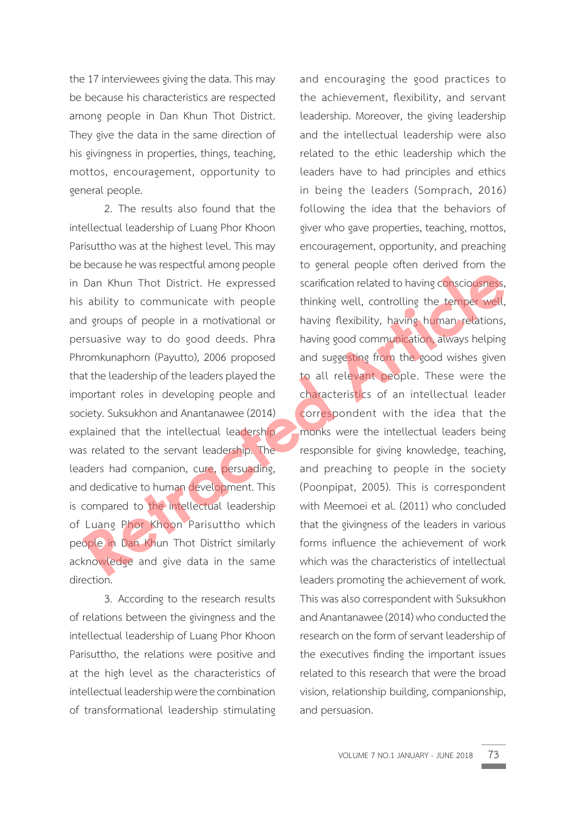the 17 interviewees giving the data. This may be because his characteristics are respected among people in Dan Khun Thot District. They give the data in the same direction of his givingness in properties, things, teaching, mottos, encouragement, opportunity to general people.

 2. The results also found that the intellectual leadership of Luang Phor Khoon Parisuttho was at the highest level. This may be because he was respectful among people in Dan Khun Thot District. He expressed his ability to communicate with people and groups of people in a motivational or persuasive way to do good deeds. Phra Phromkunaphorn (Payutto), 2006 proposed that the leadership of the leaders played the important roles in developing people and society. Suksukhon and Anantanawee (2014) explained that the intellectual leadership was related to the servant leadership. The leaders had companion, cure, persuading, and dedicative to human development. This is compared to the intellectual leadership of Luang Phor Khoon Parisuttho which people in Dan Khun Thot District similarly acknowledge and give data in the same direction.

 3. According to the research results of relations between the givingness and the intellectual leadership of Luang Phor Khoon Parisuttho, the relations were positive and at the high level as the characteristics of intellectual leadership were the combination of transformational leadership stimulating

and encouraging the good practices to the achievement, flexibility, and servant leadership. Moreover, the giving leadership and the intellectual leadership were also related to the ethic leadership which the leaders have to had principles and ethics in being the leaders (Somprach, 2016) following the idea that the behaviors of giver who gave properties, teaching, mottos, encouragement, opportunity, and preaching to general people often derived from the scarification related to having consciousness, thinking well, controlling the temper well, having flexibility, having human relations, having good communication, always helping and suggesting from the good wishes given to all relevant people. These were the characteristics of an intellectual leader correspondent with the idea that the monks were the intellectual leaders being responsible for giving knowledge, teaching, and preaching to people in the society (Poonpipat, 2005). This is correspondent with Meemoei et al. (2011) who concluded that the givingness of the leaders in various forms influence the achievement of work which was the characteristics of intellectual leaders promoting the achievement of work. This was also correspondent with Suksukhon and Anantanawee (2014) who conducted the research on the form of servant leadership of the executives finding the important issues related to this research that were the broad vision, relationship building, companionship, and persuasion. Dan Khun Thot District. He expressed<br>
accompanicate of the property of the communicate with people<br>
at the expressed scarification related to having consciousness,<br>
ability to communicate with people<br>
at the seculor of peo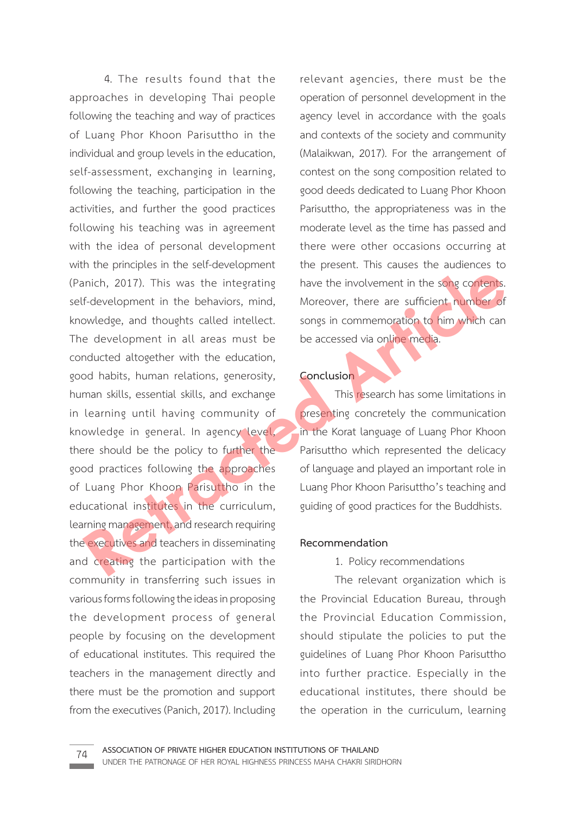4. The results found that the approaches in developing Thai people following the teaching and way of practices of Luang Phor Khoon Parisuttho in the individual and group levels in the education, self-assessment, exchanging in learning, following the teaching, participation in the activities, and further the good practices following his teaching was in agreement with the idea of personal development with the principles in the self-development (Panich, 2017). This was the integrating self-development in the behaviors, mind, knowledge, and thoughts called intellect. The development in all areas must be conducted altogether with the education, good habits, human relations, generosity, human skills, essential skills, and exchange in learning until having community of knowledge in general. In agency level, there should be the policy to further the good practices following the approaches of Luang Phor Khoon Parisuttho in the educational institutes in the curriculum, learning management, and research requiring the executives and teachers in disseminating and creating the participation with the community in transferring such issues in various forms following the ideas in proposing the development process of general people by focusing on the development of educational institutes. This required the teachers in the management directly and there must be the promotion and support from the executives (Panich, 2017). Including **Retraining the solution of the solution of the solution of the solution of the solution of the solution of the solution of the solution of the solution of the behaviors, mind, Moreover, there are sufficient number of owle** 

relevant agencies, there must be the operation of personnel development in the agency level in accordance with the goals and contexts of the society and community (Malaikwan, 2017). For the arrangement of contest on the song composition related to good deeds dedicated to Luang Phor Khoon Parisuttho, the appropriateness was in the moderate level as the time has passed and there were other occasions occurring at the present. This causes the audiences to have the involvement in the song contents. Moreover, there are sufficient number of songs in commemoration to him which can be accessed via online media.

## **Conclusion**

This research has some limitations in presenting concretely the communication in the Korat language of Luang Phor Khoon Parisuttho which represented the delicacy of language and played an important role in Luang Phor Khoon Parisuttho's teaching and guiding of good practices for the Buddhists.

#### **Recommendation**

#### 1. Policy recommendations

 The relevant organization which is the Provincial Education Bureau, through the Provincial Education Commission, should stipulate the policies to put the guidelines of Luang Phor Khoon Parisuttho into further practice. Especially in the educational institutes, there should be the operation in the curriculum, learning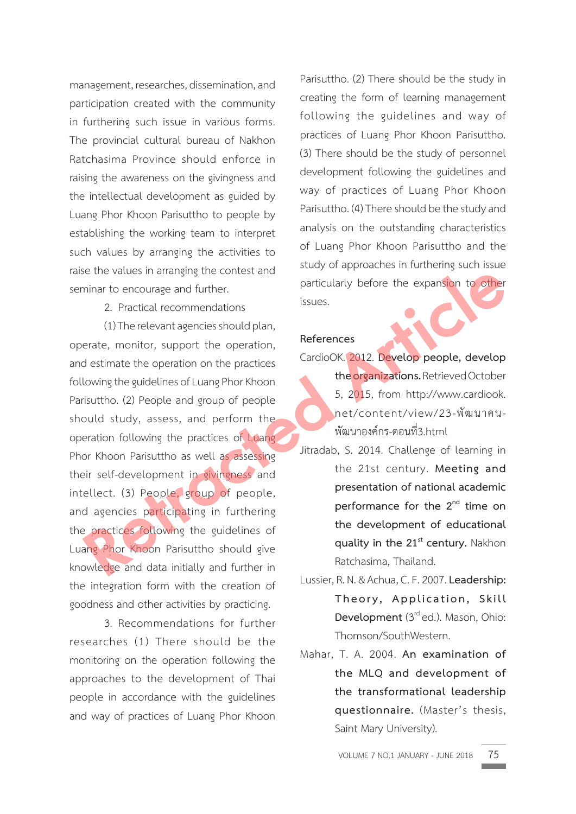management, researches, dissemination, and participation created with the community in furthering such issue in various forms. The provincial cultural bureau of Nakhon Ratchasima Province should enforce in raising the awareness on the givingness and the intellectual development as guided by Luang Phor Khoon Parisuttho to people by establishing the working team to interpret such values by arranging the activities to raise the values in arranging the contest and seminar to encourage and further.

2. Practical recommendations

 (1) The relevant agencies should plan, operate, monitor, support the operation, and estimate the operation on the practices following the guidelines of Luang Phor Khoon Parisuttho. (2) People and group of people should study, assess, and perform the operation following the practices of Luang Phor Khoon Parisuttho as well as assessing their self-development in givingness and intellect. (3) People, group of people, and agencies participating in furthering the practices following the guidelines of Luang Phor Khoon Parisuttho should give knowledge and data initially and further in the integration form with the creation of goodness and other activities by practicing. For the content of expansion to other<br>
minar to encourage and further.<br>
2. Practical recommendations<br>
(1) The relevant agencies should plan,<br> **References**<br>
destimate the operation of the operation of the organizations. Ret

 3. Recommendations for further researches (1) There should be the monitoring on the operation following the approaches to the development of Thai people in accordance with the guidelines and way of practices of Luang Phor Khoon

Parisuttho. (2) There should be the study in creating the form of learning management following the guidelines and way of practices of Luang Phor Khoon Parisuttho. (3) There should be the study of personnel development following the guidelines and way of practices of Luang Phor Khoon Parisuttho. (4) There should be the study and analysis on the outstanding characteristics of Luang Phor Khoon Parisuttho and the study of approaches in furthering such issue particularly before the expansion to other issues.

#### **References**

CardioOK. 2012. **Develop people, develop the organizations.** Retrieved October 5, 2015, from http://www.cardiook. net/content/view/23-พัฒนาคน-พัฒนาองคกร-ตอนที่3.html

- Jitradab, S. 2014. Challenge of learning in the 21st century. **Meeting and presentation of national academic performance for the 2nd time on the development of educational quality in the 21st century.** Nakhon Ratchasima, Thailand.
- Lussier, R. N. & Achua, C. F. 2007. **Leadership: Theory, Application, Skill Development** (3<sup>rd</sup> ed.). Mason, Ohio: Thomson/SouthWestern.
- Mahar, T. A. 2004. **An examination of the MLQ and development of the transformational leadership questionnaire.** (Master's thesis, Saint Mary University).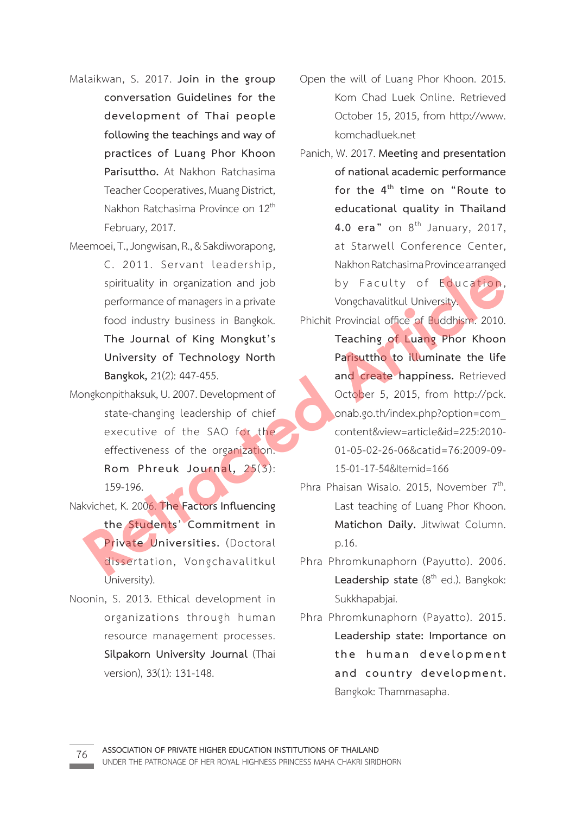- Malaikwan, S. 2017. **Join in the group conversation Guidelines for the development of Thai people following the teachings and way of practices of Luang Phor Khoon Parisuttho.** At Nakhon Ratchasima Teacher Cooperatives, Muang District, Nakhon Ratchasima Province on 12<sup>th</sup> February, 2017.
- Meemoei, T., Jongwisan, R., & Sakdiworapong, C. 2011. Servant leadership, spirituality in organization and job performance of managers in a private food industry business in Bangkok. **The Journal of King Mongkut's University of Technology North Bangkok,** 21(2): 447-455.
- Mongkonpithaksuk, U. 2007. Development of state-changing leadership of chief executive of the SAO for the effectiveness of the organization. **Rom Phreuk Journal,** 25(3): 159-196.
- Nakvichet, K. 2006. **The Factors Influencing the Students' Commitment in Private Universities.** (Doctoral dissertation, Vongchavalitkul University).
- Noonin, S. 2013. Ethical development in organizations through human resource management processes. **Silpakorn University Journal** (Thai version), 33(1): 131-148.
- Open the will of Luang Phor Khoon. 2015. Kom Chad Luek Online. Retrieved October 15, 2015, from http://www. komchadluek.net
- Panich, W. 2017. **Meeting and presentation of national academic performance**  for the 4<sup>th</sup> time on "Route to  **educational quality in Thailand 4.0 era**" on 8<sup>th</sup> January, 2017, at Starwell Conference Center, Nakhon Ratchasima Province arranged by Faculty of Education, Vongchavalitkul University.
- Phichit Provincial office of Buddhism. 2010. **Teaching of Luang Phor Khoon Parisuttho to illuminate the life and create happiness.** Retrieved October 5, 2015, from http://pck. onab.go.th/index.php?option=com\_ content&view=article&id=225:2010- 01-05-02-26-06&catid=76:2009-09- 15-01-17-54&Itemid=166 Spirituality in organization and job<br>
performance of managers in a private<br>
food industry business in Bangkok.<br> **Phichit Provincial office of Buddhism.** 2010.<br> **The Journal of King Mongkut's**<br> **Phichit Provincial office of** 
	- Phra Phaisan Wisalo. 2015, November 7<sup>th</sup>. Last teaching of Luang Phor Khoon. **Matichon Daily.** Jitwiwat Column. p.16.
	- Phra Phromkunaphorn (Payutto). 2006. Leadership state (8<sup>th</sup> ed.). Bangkok: Sukkhapabjai.
	- Phra Phromkunaphorn (Payatto). 2015.  **Leadership state: Importance on**  the human development  **and country development.**  Bangkok: Thammasapha.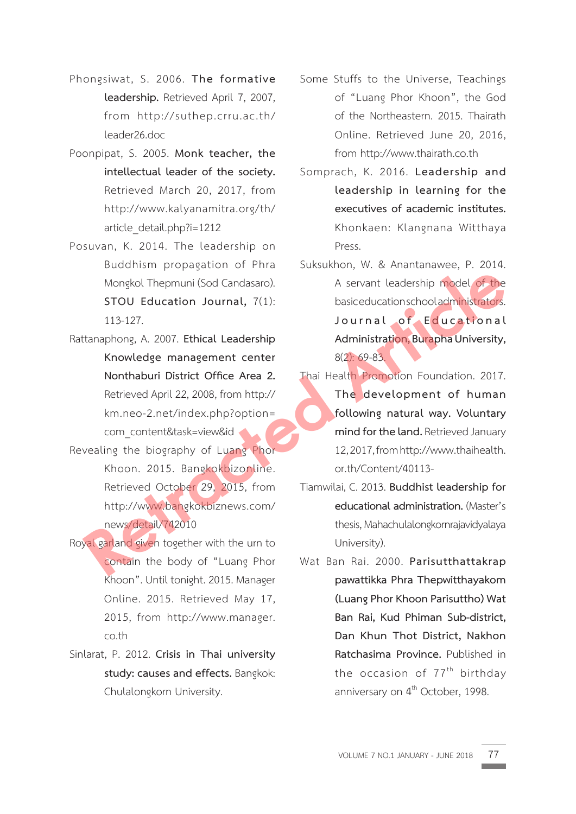- Phongsiwat, S. 2006. **The formative leadership.** Retrieved April 7, 2007, from http://suthep.crru.ac.th/ leader26.doc
- Poonpipat, S. 2005. **Monk teacher, the intellectual leader of the society.**  Retrieved March 20, 2017, from http://www.kalyanamitra.org/th/ article\_detail.php?i=1212
- Posuvan, K. 2014. The leadership on Buddhism propagation of Phra Mongkol Thepmuni (Sod Candasaro). **STOU Education Journal,** 7(1): 113-127.
- Rattanaphong, A. 2007. **Ethical Leadership Knowledge management center Nonthaburi District Office Area 2.** Retrieved April 22, 2008, from http:// km.neo-2.net/index.php?option= com\_content&task=view&id
- Revealing the biography of Luang Phor Khoon. 2015. Bangkokbizonline. Retrieved October 29, 2015, from http://www.bangkokbiznews.com/ news/detail/742010
- Royal garland given together with the urn to contain the body of "Luang Phor Khoon". Until tonight. 2015. Manager Online. 2015. Retrieved May 17, 2015, from http://www.manager. co.th
- Sinlarat, P. 2012. **Crisis in Thai university study: causes and effects.** Bangkok: Chulalongkorn University.
- Some Stuffs to the Universe, Teachings of "Luang Phor Khoon", the God of the Northeastern. 2015. Thairath Online. Retrieved June 20, 2016, from http://www.thairath.co.th
- Somprach, K. 2016. **Leadership and leadership in learning for the executives of academic institutes.** Khonkaen: Klangnana Witthaya Press.
- Suksukhon, W. & Anantanawee, P. 2014. A servant leadership model of the basic education school administrators. Journal of Educational  **Administration, Burapha University,**  8(2): 69-83.
- Thai Health Promotion Foundation. 2017. **The development of human following natural way. Voluntary mind for the land.** Retrieved January 12, 2017, from http://www.thaihealth. or.th/Content/40113- Mongkol Thepmuni (Sod Candasaro).<br> **Retraction Sournal,** 7(1):<br> **Retraction Sournal,** 7(1):<br> **Retractions Controlled Montal Strates**<br> **Retracted** Article**r Controlledge management center**<br> **Retrieved** April 22, 2008, from
	- Tiamwilai, C. 2013. **Buddhist leadership for educational administration.** (Master's thesis, Mahachulalongkornrajavidyalaya University).
	- Wat Ban Rai. 2000. **Parisutthattakrap pawattikka Phra Thepwitthayakom (Luang Phor Khoon Parisuttho) Wat Ban Rai, Kud Phiman Sub-district, Dan Khun Thot District, Nakhon Ratchasima Province.** Published in the occasion of  $77<sup>th</sup>$  birthday anniversary on 4<sup>th</sup> October, 1998.